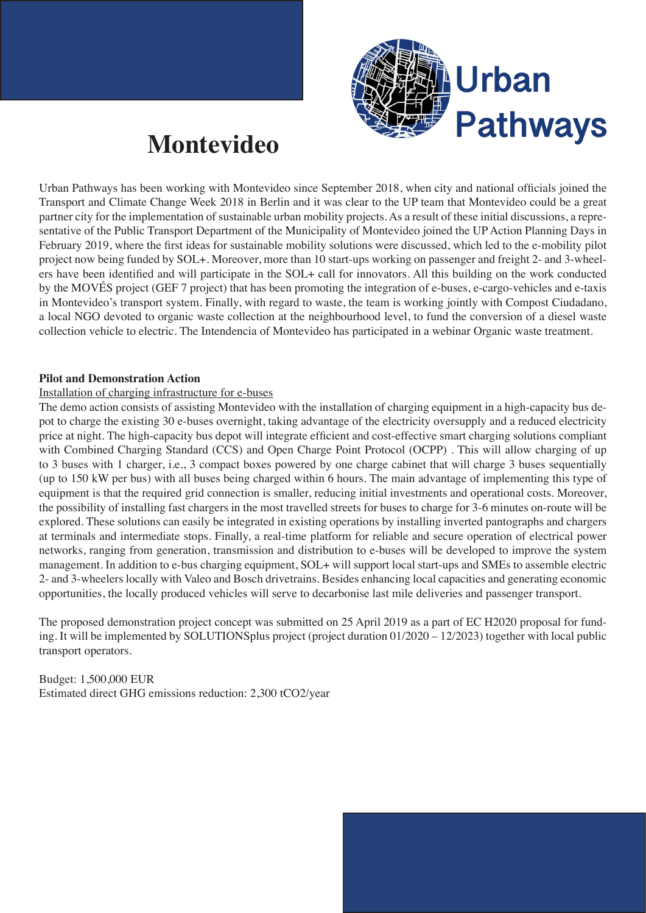

## **Montevideo**

Urban Pathways has been working with Montevideo since September 2018, when city and national officials joined the Transport and Climate Change Week 2018 in Berlin and it was clear to the UP team that Montevideo could be a great partner city for the implementation of sustainable urban mobility projects. As a result of these initial discussions, a representative of the Public Transport Department of the Municipality of Montevideo joined the UP Action Planning Days in February 2019, where the first ideas for sustainable mobility solutions were discussed, which led to the e-mobility pilot project now being funded by SOL+. Moreover, more than 10 start-ups working on passenger and freight 2- and 3-wheelers have been identified and will participate in the SOL+ call for innovators. All this building on the work conducted by the MOVÉS project (GEF 7 project) that has been promoting the integration of e-buses, e-cargo-vehicles and e-taxis in Montevideo's transport system. Finally, with regard to waste, the team is working jointly with Compost Ciudadano, a local NGO devoted to organic waste collection at the neighbourhood level, to fund the conversion of a diesel waste collection vehicle to electric. The Intendencia of Montevideo has participated in a webinar Organic waste treatment.

## **Pilot and Demonstration Action**

## Installation of charging infrastructure for e-buses

The demo action consists of assisting Montevideo with the installation of charging equipment in a high-capacity bus depot to charge the existing 30 e-buses overnight, taking advantage of the electricity oversupply and a reduced electricity price at night. The high-capacity bus depot will integrate efficient and cost-effective smart charging solutions compliant with Combined Charging Standard (CCS) and Open Charge Point Protocol (OCPP) . This will allow charging of up to 3 buses with 1 charger, i.e., 3 compact boxes powered by one charge cabinet that will charge 3 buses sequentially (up to 150 kW per bus) with all buses being charged within 6 hours. The main advantage of implementing this type of equipment is that the required grid connection is smaller, reducing initial investments and operational costs. Moreover, the possibility of installing fast chargers in the most travelled streets for buses to charge for 3-6 minutes on-route will be explored. These solutions can easily be integrated in existing operations by installing inverted pantographs and chargers at terminals and intermediate stops. Finally, a real-time platform for reliable and secure operation of electrical power networks, ranging from generation, transmission and distribution to e-buses will be developed to improve the system management. In addition to e-bus charging equipment, SOL+ will support local start-ups and SMEs to assemble electric 2- and 3-wheelers locally with Valeo and Bosch drivetrains. Besides enhancing local capacities and generating economic opportunities, the locally produced vehicles will serve to decarbonise last mile deliveries and passenger transport.

The proposed demonstration project concept was submitted on 25 April 2019 as a part of EC H2020 proposal for funding. It will be implemented by SOLUTIONSplus project (project duration 01/2020 – 12/2023) together with local public transport operators.

Budget: 1,500,000 EUR Estimated direct GHG emissions reduction: 2,300 tCO2/year